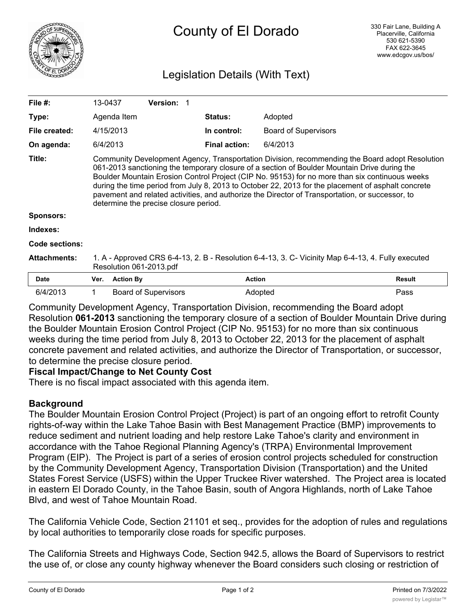

# Legislation Details (With Text)

| File #:             | 13-0437                                                                                                                                                                                                                                                                                                                                                                                                                                                                                                                                            |                  | <b>Version:</b>             |  |                      |                             |               |
|---------------------|----------------------------------------------------------------------------------------------------------------------------------------------------------------------------------------------------------------------------------------------------------------------------------------------------------------------------------------------------------------------------------------------------------------------------------------------------------------------------------------------------------------------------------------------------|------------------|-----------------------------|--|----------------------|-----------------------------|---------------|
| Type:               |                                                                                                                                                                                                                                                                                                                                                                                                                                                                                                                                                    | Agenda Item      |                             |  | <b>Status:</b>       | Adopted                     |               |
| File created:       | 4/15/2013                                                                                                                                                                                                                                                                                                                                                                                                                                                                                                                                          |                  |                             |  | In control:          | <b>Board of Supervisors</b> |               |
| On agenda:          | 6/4/2013                                                                                                                                                                                                                                                                                                                                                                                                                                                                                                                                           |                  |                             |  | <b>Final action:</b> | 6/4/2013                    |               |
| Title:              | Community Development Agency, Transportation Division, recommending the Board adopt Resolution<br>061-2013 sanctioning the temporary closure of a section of Boulder Mountain Drive during the<br>Boulder Mountain Erosion Control Project (CIP No. 95153) for no more than six continuous weeks<br>during the time period from July 8, 2013 to October 22, 2013 for the placement of asphalt concrete<br>pavement and related activities, and authorize the Director of Transportation, or successor, to<br>determine the precise closure period. |                  |                             |  |                      |                             |               |
| Sponsors:           |                                                                                                                                                                                                                                                                                                                                                                                                                                                                                                                                                    |                  |                             |  |                      |                             |               |
| Indexes:            |                                                                                                                                                                                                                                                                                                                                                                                                                                                                                                                                                    |                  |                             |  |                      |                             |               |
| Code sections:      |                                                                                                                                                                                                                                                                                                                                                                                                                                                                                                                                                    |                  |                             |  |                      |                             |               |
| <b>Attachments:</b> | 1. A - Approved CRS 6-4-13, 2. B - Resolution 6-4-13, 3. C- Vicinity Map 6-4-13, 4. Fully executed<br>Resolution 061-2013.pdf                                                                                                                                                                                                                                                                                                                                                                                                                      |                  |                             |  |                      |                             |               |
| Date                | Ver.                                                                                                                                                                                                                                                                                                                                                                                                                                                                                                                                               | <b>Action By</b> |                             |  | <b>Action</b>        |                             | <b>Result</b> |
| 6/4/2013            | 1                                                                                                                                                                                                                                                                                                                                                                                                                                                                                                                                                  |                  | <b>Board of Supervisors</b> |  |                      | Adopted                     | Pass          |

Community Development Agency, Transportation Division, recommending the Board adopt Resolution **061-2013** sanctioning the temporary closure of a section of Boulder Mountain Drive during the Boulder Mountain Erosion Control Project (CIP No. 95153) for no more than six continuous weeks during the time period from July 8, 2013 to October 22, 2013 for the placement of asphalt concrete pavement and related activities, and authorize the Director of Transportation, or successor, to determine the precise closure period.

## **Fiscal Impact/Change to Net County Cost**

There is no fiscal impact associated with this agenda item.

# **Background**

The Boulder Mountain Erosion Control Project (Project) is part of an ongoing effort to retrofit County rights-of-way within the Lake Tahoe Basin with Best Management Practice (BMP) improvements to reduce sediment and nutrient loading and help restore Lake Tahoe's clarity and environment in accordance with the Tahoe Regional Planning Agency's (TRPA) Environmental Improvement Program (EIP). The Project is part of a series of erosion control projects scheduled for construction by the Community Development Agency, Transportation Division (Transportation) and the United States Forest Service (USFS) within the Upper Truckee River watershed. The Project area is located in eastern El Dorado County, in the Tahoe Basin, south of Angora Highlands, north of Lake Tahoe Blvd, and west of Tahoe Mountain Road.

The California Vehicle Code, Section 21101 et seq., provides for the adoption of rules and regulations by local authorities to temporarily close roads for specific purposes.

The California Streets and Highways Code, Section 942.5, allows the Board of Supervisors to restrict the use of, or close any county highway whenever the Board considers such closing or restriction of